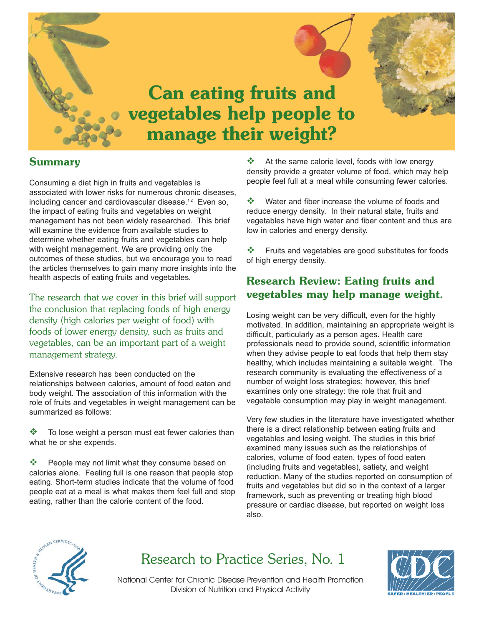

# **Summary**

Consuming a diet high in fruits and vegetables is associated with lower risks for numerous chronic diseases, including cancer and cardiovascular disease.<sup>1,2</sup> Even so, the impact of eating fruits and vegetables on weight management has not been widely researched. This brief will examine the evidence from available studies to determine whether eating fruits and vegetables can help with weight management. We are providing only the outcomes of these studies, but we encourage you to read the articles themselves to gain many more insights into the health aspects of eating fruits and vegetables.

The research that we cover in this brief will support the conclusion that replacing foods of high energy density (high calories per weight of food) with foods of lower energy density, such as fruits and vegetables, can be an important part of a weight management strategy.

Extensive research has been conducted on the relationships between calories, amount of food eaten and body weight. The association of this information with the role of fruits and vegetables in weight management can be summarized as follows:

 $\cdot \cdot$  To lose weight a person must eat fewer calories than what he or she expends.

 $\cdot$  People may not limit what they consume based on calories alone. Feeling full is one reason that people stop eating. Short-term studies indicate that the volume of food people eat at a meal is what makes them feel full and stop eating, rather than the calorie content of the food.

 $\cdot$  At the same calorie level, foods with low energy density provide a greater volume of food, which may help people feel full at a meal while consuming fewer calories.

 Water and fiber increase the volume of foods and reduce energy density. In their natural state, fruits and vegetables have high water and fiber content and thus are low in calories and energy density.

❖ Fruits and vegetables are good substitutes for foods of high energy density.

# **Research Review: Eating fruits and vegetables may help manage weight.**

Losing weight can be very difficult, even for the highly motivated. In addition, maintaining an appropriate weight is difficult, particularly as a person ages. Health care professionals need to provide sound, scientific information when they advise people to eat foods that help them stay healthy, which includes maintaining a suitable weight. The research community is evaluating the effectiveness of a number of weight loss strategies; however, this brief examines only one strategy: the role that fruit and vegetable consumption may play in weight management.

Very few studies in the literature have investigated whether there is a direct relationship between eating fruits and vegetables and losing weight. The studies in this brief examined many issues such as the relationships of calories, volume of food eaten, types of food eaten (including fruits and vegetables), satiety, and weight reduction. Many of the studies reported on consumption of fruits and vegetables but did so in the context of a larger framework, such as preventing or treating high blood pressure or cardiac disease, but reported on weight loss also.



# Research to Practice Series, No. 1



National Center for Chronic Disease Prevention and Health Promotion Division of Nutrition and Physical Activity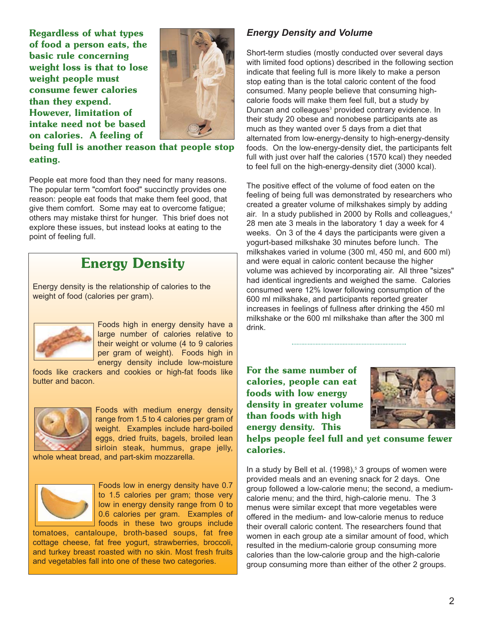**Regardless of what types of food a person eats, the basic rule concerning weight loss is that to lose weight people must consume fewer calories than they expend. However, limitation of intake need not be based on calories. A feeling of** 



**being full is another reason that people stop eating.** 

People eat more food than they need for many reasons. The popular term "comfort food" succinctly provides one reason: people eat foods that make them feel good, that give them comfort. Some may eat to overcome fatigue; others may mistake thirst for hunger. This brief does not explore these issues, but instead looks at eating to the point of feeling full.

# **Energy Density**

Energy density is the relationship of calories to the weight of food (calories per gram).



Foods high in energy density have a large number of calories relative to their weight or volume (4 to 9 calories per gram of weight). Foods high in energy density include low-moisture

foods like crackers and cookies or high-fat foods like butter and bacon.



Foods with medium energy density range from 1.5 to 4 calories per gram of weight. Examples include hard-boiled eggs, dried fruits, bagels, broiled lean sirloin steak, hummus, grape jelly,

whole wheat bread, and part-skim mozzarella.



Foods low in energy density have 0.7 to 1.5 calories per gram; those very low in energy density range from 0 to 0.6 calories per gram. Examples of foods in these two groups include

tomatoes, cantaloupe, broth-based soups, fat free cottage cheese, fat free yogurt, strawberries, broccoli, and turkey breast roasted with no skin. Most fresh fruits and vegetables fall into one of these two categories.

### *Energy Density and Volume*

Short-term studies (mostly conducted over several days with limited food options) described in the following section indicate that feeling full is more likely to make a person stop eating than is the total caloric content of the food consumed. Many people believe that consuming highcalorie foods will make them feel full, but a study by Duncan and colleagues<sup>3</sup> provided contrary evidence. In their study 20 obese and nonobese participants ate as much as they wanted over 5 days from a diet that alternated from low-energy-density to high-energy-density foods. On the low-energy-density diet, the participants felt full with just over half the calories (1570 kcal) they needed to feel full on the high-energy-density diet (3000 kcal).

The positive effect of the volume of food eaten on the feeling of being full was demonstrated by researchers who created a greater volume of milkshakes simply by adding air. In a study published in 2000 by Rolls and colleagues,<sup>4</sup> 28 men ate 3 meals in the laboratory 1 day a week for 4 weeks. On 3 of the 4 days the participants were given a yogurt-based milkshake 30 minutes before lunch. The milkshakes varied in volume (300 ml, 450 ml, and 600 ml) and were equal in caloric content because the higher volume was achieved by incorporating air. All three "sizes" had identical ingredients and weighed the same. Calories consumed were 12% lower following consumption of the 600 ml milkshake, and participants reported greater increases in feelings of fullness after drinking the 450 ml milkshake or the 600 ml milkshake than after the 300 ml drink.

**For the same number of calories, people can eat foods with low energy density in greater volume than foods with high energy density. This** 



**helps people feel full and yet consume fewer calories.** 

In a study by Bell et al.  $(1998)^5$  3 groups of women were provided meals and an evening snack for 2 days. One group followed a low-calorie menu; the second, a mediumcalorie menu; and the third, high-calorie menu. The 3 menus were similar except that more vegetables were offered in the medium- and low-calorie menus to reduce their overall caloric content. The researchers found that women in each group ate a similar amount of food, which resulted in the medium-calorie group consuming more calories than the low-calorie group and the high-calorie group consuming more than either of the other 2 groups.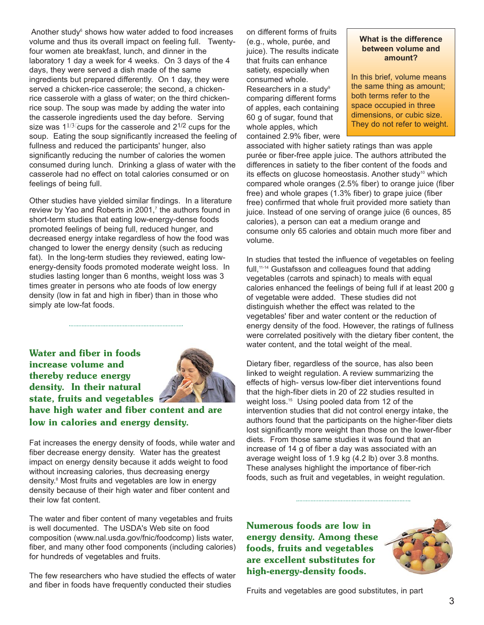Another study<sup>6</sup> shows how water added to food increases volume and thus its overall impact on feeling full. Twentyfour women ate breakfast, lunch, and dinner in the laboratory 1 day a week for 4 weeks. On 3 days of the 4 days, they were served a dish made of the same ingredients but prepared differently. On 1 day, they were served a chicken-rice casserole; the second, a chickenrice casserole with a glass of water; on the third chickenrice soup. The soup was made by adding the water into the casserole ingredients used the day before. Serving size was  $1^{1/3}$  cups for the casserole and  $2^{1/2}$  cups for the soup. Eating the soup significantly increased the feeling of fullness and reduced the participants' hunger, also significantly reducing the number of calories the women consumed during lunch. Drinking a glass of water with the casserole had no effect on total calories consumed or on feelings of being full.

Other studies have yielded similar findings. In a literature review by Yao and Roberts in 2001, $<sup>7</sup>$  the authors found in</sup> short-term studies that eating low-energy-dense foods promoted feelings of being full, reduced hunger, and decreased energy intake regardless of how the food was changed to lower the energy density (such as reducing fat). In the long-term studies they reviewed, eating lowenergy-density foods promoted moderate weight loss. In studies lasting longer than 6 months, weight loss was 3 times greater in persons who ate foods of low energy density (low in fat and high in fiber) than in those who simply ate low-fat foods.

**Water and fiber in foods increase volume and thereby reduce energy density. In their natural state, fruits and vegetables** 



**have high water and fiber content and are low in calories and energy density.** 

Fat increases the energy density of foods, while water and fiber decrease energy density. Water has the greatest impact on energy density because it adds weight to food without increasing calories, thus decreasing energy density.8 Most fruits and vegetables are low in energy density because of their high water and fiber content and their low fat content.

The water and fiber content of many vegetables and fruits is well documented. The USDA's Web site on food composition (www.nal.usda.gov/fnic/foodcomp) lists water, fiber, and many other food components (including calories) for hundreds of vegetables and fruits.

The few researchers who have studied the effects of water and fiber in foods have frequently conducted their studies

on different forms of fruits (e.g., whole, purée, and **What is the difference**  juice). The results indicate **between volum**<br>that fruits can onbance that fruits can enhance satiety, especially when consumed whole. **In this brief, volume means** comparing different forms both terms refer to the<br>of apples, each containing space occupied in three of apples, each containing  $60 g$  of sugar, found that dimensions, or cubic size. whole apples, which  $\vert$  They do not refer to weight. contained 2.9% fiber, were

Researchers in a study<sup>9</sup> the same thing as amount;<br>comparing different forms both terms refer to the

associated with higher satiety ratings than was apple purée or fiber-free apple juice. The authors attributed the differences in satiety to the fiber content of the foods and its effects on glucose homeostasis. Another study<sup>10</sup> which compared whole oranges (2.5% fiber) to orange juice (fiber free) and whole grapes (1.3% fiber) to grape juice (fiber free) confirmed that whole fruit provided more satiety than juice. Instead of one serving of orange juice (6 ounces, 85 calories), a person can eat a medium orange and consume only 65 calories and obtain much more fiber and volume.

full,<sup>11-14</sup> Gustafsson and colleagues found that adding In studies that tested the influence of vegetables on feeling vegetables (carrots and spinach) to meals with equal calories enhanced the feelings of being full if at least 200 g of vegetable were added. These studies did not distinguish whether the effect was related to the vegetables' fiber and water content or the reduction of energy density of the food. However, the ratings of fullness were correlated positively with the dietary fiber content, the water content, and the total weight of the meal.

Dietary fiber, regardless of the source, has also been linked to weight regulation. A review summarizing the effects of high- versus low-fiber diet interventions found that the high-fiber diets in 20 of 22 studies resulted in weight loss.<sup>15</sup> Using pooled data from 12 of the intervention studies that did not control energy intake, the authors found that the participants on the higher-fiber diets lost significantly more weight than those on the lower-fiber diets. From those same studies it was found that an increase of 14 g of fiber a day was associated with an average weight loss of 1.9 kg (4.2 lb) over 3.8 months. These analyses highlight the importance of fiber-rich foods, such as fruit and vegetables, in weight regulation.

**Numerous foods are low in energy density. Among these foods, fruits and vegetables are excellent substitutes for high-energy-density foods.** 



Fruits and vegetables are good substitutes, in part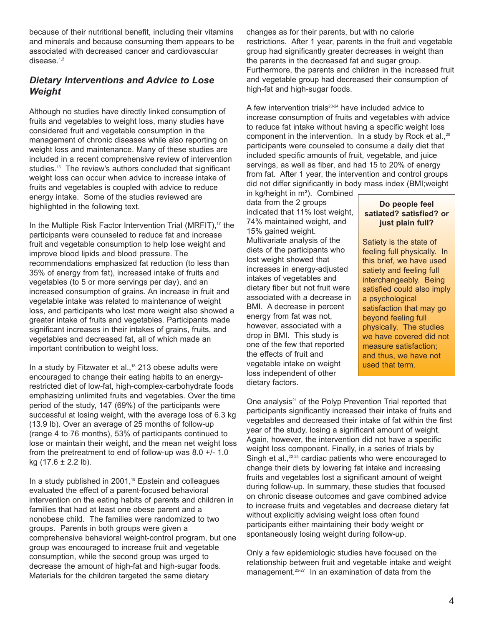because of their nutritional benefit, including their vitamins and minerals and because consuming them appears to be associated with decreased cancer and cardiovascular disease.<sup>1,2</sup>

### *Dietary Interventions and Advice to Lose Weight*

Although no studies have directly linked consumption of fruits and vegetables to weight loss, many studies have considered fruit and vegetable consumption in the management of chronic diseases while also reporting on weight loss and maintenance. Many of these studies are included in a recent comprehensive review of intervention studies.<sup>16</sup> The review's authors concluded that significant weight loss can occur when advice to increase intake of fruits and vegetables is coupled with advice to reduce energy intake. Some of the studies reviewed are highlighted in the following text.

In the Multiple Risk Factor Intervention Trial (MRFIT), $17$  the participants were counseled to reduce fat and increase fruit and vegetable consumption to help lose weight and improve blood lipids and blood pressure. The recommendations emphasized fat reduction (to less than 35% of energy from fat), increased intake of fruits and vegetables (to 5 or more servings per day), and an increased consumption of grains. An increase in fruit and vegetable intake was related to maintenance of weight loss, and participants who lost more weight also showed a greater intake of fruits and vegetables. Participants made significant increases in their intakes of grains, fruits, and vegetables and decreased fat, all of which made an important contribution to weight loss.

In a study by Fitzwater et al.,<sup>18</sup> 213 obese adults were encouraged to change their eating habits to an energyrestricted diet of low-fat, high-complex-carbohydrate foods emphasizing unlimited fruits and vegetables. Over the time period of the study, 147 (69%) of the participants were successful at losing weight, with the average loss of 6.3 kg (13.9 lb). Over an average of 25 months of follow-up (range 4 to 76 months), 53% of participants continued to lose or maintain their weight, and the mean net weight loss from the pretreatment to end of follow-up was 8.0 +/- 1.0 kg  $(17.6 \pm 2.2 \text{ lb})$ .

In a study published in 2001,<sup>19</sup> Epstein and colleagues evaluated the effect of a parent-focused behavioral intervention on the eating habits of parents and children in families that had at least one obese parent and a nonobese child. The families were randomized to two groups. Parents in both groups were given a comprehensive behavioral weight-control program, but one group was encouraged to increase fruit and vegetable consumption, while the second group was urged to decrease the amount of high-fat and high-sugar foods. Materials for the children targeted the same dietary

changes as for their parents, but with no calorie restrictions. After 1 year, parents in the fruit and vegetable group had significantly greater decreases in weight than the parents in the decreased fat and sugar group. Furthermore, the parents and children in the increased fruit and vegetable group had decreased their consumption of high-fat and high-sugar foods.

A few intervention trials<sup>20-24</sup> have included advice to increase consumption of fruits and vegetables with advice to reduce fat intake without having a specific weight loss component in the intervention. In a study by Rock et al., $20$ participants were counseled to consume a daily diet that included specific amounts of fruit, vegetable, and juice servings, as well as fiber, and had 15 to 20% of energy from fat. After 1 year, the intervention and control groups did not differ significantly in body mass index (BMI;weight

in kg/height in m²). Combined data from the 2 groups **Do people feel** indicated that 11% lost weight, **satiated? satisfied? or** 74% maintained weight, and **just plain full?** 15% gained weight. Multivariate analysis of the  $\frac{1}{1}$  Satiety is the state of diets of the participants who  $\begin{array}{|l|l|}\n\hline\n\text{feeling full physically. In} \\
\text{lost weight showed that}\n\end{array}$  $i$ ncreases in energy-adjusted satiety and feeling full intakes of vegetables and dietary fiber but not fruit were  $\vert$  satisfied could also imply associated with a decrease in  $\vert$  a psychological BMI. A decrease in percent satisfaction that may go energy from fat was not, beyond feeling full however, associated with  $a \rightarrow$  physically. The studies drop in BMI. This study is  $\frac{1}{2}$  we have covered did not one of the few that reported  $\Box$  measure satisfaction; the effects of fruit and  $\Box$  and thus, we have not vegetable intake on weight  $\frac{1}{x}$  used that term. loss independent of other dietary factors.

this brief, we have used interchangeably. Being

One analysis<sup>21</sup> of the Polyp Prevention Trial reported that participants significantly increased their intake of fruits and vegetables and decreased their intake of fat within the first year of the study, losing a significant amount of weight. Again, however, the intervention did not have a specific weight loss component. Finally, in a series of trials by Singh et al.,<sup>22-24</sup> cardiac patients who were encouraged to change their diets by lowering fat intake and increasing fruits and vegetables lost a significant amount of weight during follow-up. In summary, these studies that focused on chronic disease outcomes and gave combined advice to increase fruits and vegetables and decrease dietary fat without explicitly advising weight loss often found participants either maintaining their body weight or spontaneously losing weight during follow-up.

Only a few epidemiologic studies have focused on the relationship between fruit and vegetable intake and weight management.<sup>25-27</sup> In an examination of data from the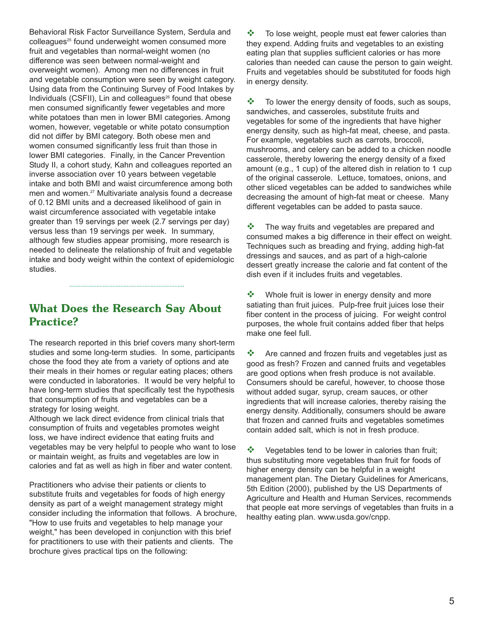Behavioral Risk Factor Surveillance System, Serdula and colleagues<sup>25</sup> found underweight women consumed more fruit and vegetables than normal-weight women (no difference was seen between normal-weight and overweight women). Among men no differences in fruit and vegetable consumption were seen by weight category. Using data from the Continuing Survey of Food Intakes by Individuals (CSFII), Lin and colleagues<sup>26</sup> found that obese men consumed significantly fewer vegetables and more white potatoes than men in lower BMI categories. Among women, however, vegetable or white potato consumption did not differ by BMI category. Both obese men and women consumed significantly less fruit than those in lower BMI categories. Finally, in the Cancer Prevention Study II, a cohort study, Kahn and colleagues reported an inverse association over 10 years between vegetable intake and both BMI and waist circumference among both men and women.<sup>27</sup> Multivariate analysis found a decrease of 0.12 BMI units and a decreased likelihood of gain in waist circumference associated with vegetable intake greater than 19 servings per week (2.7 servings per day) versus less than 19 servings per week. In summary, although few studies appear promising, more research is needed to delineate the relationship of fruit and vegetable intake and body weight within the context of epidemiologic studies.

## **What Does the Research Say About Practice?**

The research reported in this brief covers many short-term studies and some long-term studies. In some, participants chose the food they ate from a variety of options and ate their meals in their homes or regular eating places; others were conducted in laboratories. It would be very helpful to have long-term studies that specifically test the hypothesis that consumption of fruits and vegetables can be a strategy for losing weight.

Although we lack direct evidence from clinical trials that consumption of fruits and vegetables promotes weight loss, we have indirect evidence that eating fruits and vegetables may be very helpful to people who want to lose or maintain weight, as fruits and vegetables are low in calories and fat as well as high in fiber and water content.

Practitioners who advise their patients or clients to substitute fruits and vegetables for foods of high energy density as part of a weight management strategy might consider including the information that follows. A brochure, "How to use fruits and vegetables to help manage your weight," has been developed in conjunction with this brief for practitioners to use with their patients and clients. The brochure gives practical tips on the following:

 To lose weight, people must eat fewer calories than they expend. Adding fruits and vegetables to an existing eating plan that supplies sufficient calories or has more calories than needed can cause the person to gain weight. Fruits and vegetables should be substituted for foods high in energy density.

 $\cdot \cdot$  To lower the energy density of foods, such as soups, sandwiches, and casseroles, substitute fruits and vegetables for some of the ingredients that have higher energy density, such as high-fat meat, cheese, and pasta. For example, vegetables such as carrots, broccoli, mushrooms, and celery can be added to a chicken noodle casserole, thereby lowering the energy density of a fixed amount (e.g., 1 cup) of the altered dish in relation to 1 cup of the original casserole. Lettuce, tomatoes, onions, and other sliced vegetables can be added to sandwiches while decreasing the amount of high-fat meat or cheese. Many different vegetables can be added to pasta sauce.

 $\cdot$  The way fruits and vegetables are prepared and consumed makes a big difference in their effect on weight. Techniques such as breading and frying, adding high-fat dressings and sauces, and as part of a high-calorie dessert greatly increase the calorie and fat content of the dish even if it includes fruits and vegetables.

• Whole fruit is lower in energy density and more satiating than fruit juices. Pulp-free fruit juices lose their fiber content in the process of juicing. For weight control purposes, the whole fruit contains added fiber that helps make one feel full.

 $\cdot$  Are canned and frozen fruits and vegetables just as good as fresh? Frozen and canned fruits and vegetables are good options when fresh produce is not available. Consumers should be careful, however, to choose those without added sugar, syrup, cream sauces, or other ingredients that will increase calories, thereby raising the energy density. Additionally, consumers should be aware that frozen and canned fruits and vegetables sometimes contain added salt, which is not in fresh produce.

❖ Vegetables tend to be lower in calories than fruit; thus substituting more vegetables than fruit for foods of higher energy density can be helpful in a weight management plan. The Dietary Guidelines for Americans, 5th Edition (2000), published by the US Departments of Agriculture and Health and Human Services, recommends that people eat more servings of vegetables than fruits in a healthy eating plan. www.usda.gov/cnpp.